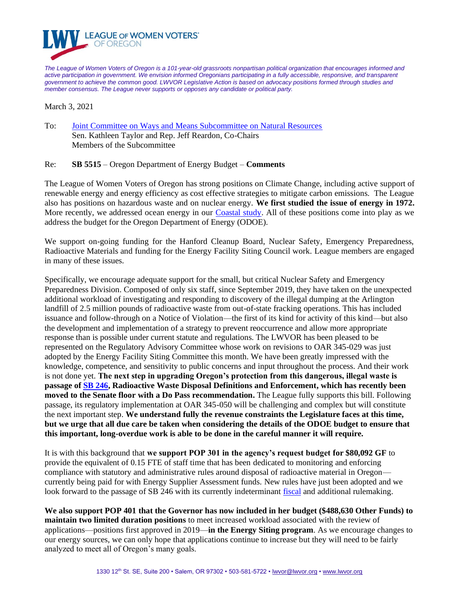

*The League of Women Voters of Oregon is a 101-year-old grassroots nonpartisan political organization that encourages informed and active participation in government. We envision informed Oregonians participating in a fully accessible, responsive, and transparent government to achieve the common good. LWVOR Legislative Action is based on advocacy positions formed through studies and member consensus. The League never supports or opposes any candidate or political party.*

March 3, 2021

- To: [Joint Committee on Ways and Means Subcommittee on Natural Resources](https://olis.oregonlegislature.gov/liz/2021R1/Committees/JWMNR/Overview) Sen. Kathleen Taylor and Rep. Jeff Reardon, Co-Chairs Members of the Subcommittee
- Re: **SB 5515** Oregon Department of Energy Budget **Comments**

The League of Women Voters of Oregon has strong positions on Climate Change, including active support of renewable energy and energy efficiency as cost effective strategies to mitigate carbon emissions. The League also has positions on hazardous waste and on nuclear energy. **We first studied the issue of energy in 1972.**  More recently, we addressed ocean energy in our [Coastal study.](https://www.lwvor.org/study-archive/coastal-nearshore-oregon-study-2012) All of these positions come into play as we address the budget for the Oregon Department of Energy (ODOE).

We support on-going funding for the Hanford Cleanup Board, Nuclear Safety, Emergency Preparedness, Radioactive Materials and funding for the Energy Facility Siting Council work. League members are engaged in many of these issues.

Specifically, we encourage adequate support for the small, but critical Nuclear Safety and Emergency Preparedness Division. Composed of only six staff, since September 2019, they have taken on the unexpected additional workload of investigating and responding to discovery of the illegal dumping at the Arlington landfill of 2.5 million pounds of radioactive waste from out-of-state fracking operations. This has included issuance and follow-through on a Notice of Violation—the first of its kind for activity of this kind—but also the development and implementation of a strategy to prevent reoccurrence and allow more appropriate response than is possible under current statute and regulations. The LWVOR has been pleased to be represented on the Regulatory Advisory Committee whose work on revisions to OAR 345-029 was just adopted by the Energy Facility Siting Committee this month. We have been greatly impressed with the knowledge, competence, and sensitivity to public concerns and input throughout the process. And their work is not done yet. **The next step in upgrading Oregon's protection from this dangerous, illegal waste is passage of [SB 246,](https://olis.oregonlegislature.gov/liz/2021R1/Measures/Overview/SB246) Radioactive Waste Disposal Definitions and Enforcement, which has recently been moved to the Senate floor with a Do Pass recommendation.** The League fully supports this bill. Following passage, its regulatory implementation at OAR 345-050 will be challenging and complex but will constitute the next important step. **We understand fully the revenue constraints the Legislature faces at this time, but we urge that all due care be taken when considering the details of the ODOE budget to ensure that this important, long-overdue work is able to be done in the careful manner it will require.**

It is with this background that **we support POP 301 in the agency's request budget for \$80,092 GF** to provide the equivalent of 0.15 FTE of staff time that has been dedicated to monitoring and enforcing compliance with statutory and administrative rules around disposal of radioactive material in Oregon currently being paid for with Energy Supplier Assessment funds. New rules have just been adopted and we look forward to the passage of SB 246 with its currently indeterminant [fiscal](https://olis.oregonlegislature.gov/liz/2021R1/Downloads/MeasureAnalysisDocument/56533) and additional rulemaking.

**We also support POP 401 that the Governor has now included in her budget (\$488,630 Other Funds) to maintain two limited duration positions** to meet increased workload associated with the review of applications—positions first approved in 2019—**in the Energy Siting program**. As we encourage changes to our energy sources, we can only hope that applications continue to increase but they will need to be fairly analyzed to meet all of Oregon's many goals.